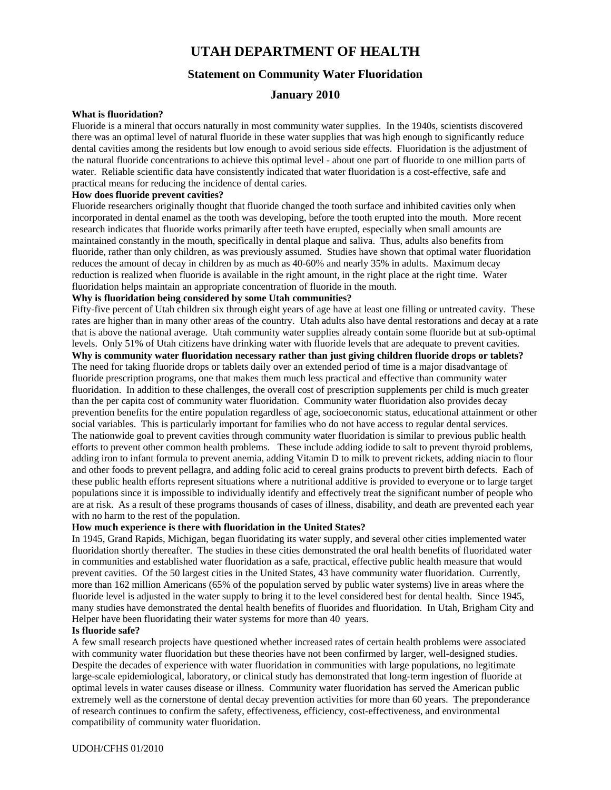# **UTAH DEPARTMENT OF HEALTH**

# **Statement on Community Water Fluoridation**

# **January 2010**

#### **What is fluoridation?**

Fluoride is a mineral that occurs naturally in most community water supplies. In the 1940s, scientists discovered there was an optimal level of natural fluoride in these water supplies that was high enough to significantly reduce dental cavities among the residents but low enough to avoid serious side effects. Fluoridation is the adjustment of the natural fluoride concentrations to achieve this optimal level - about one part of fluoride to one million parts of water. Reliable scientific data have consistently indicated that water fluoridation is a cost-effective, safe and practical means for reducing the incidence of dental caries.

## **How does fluoride prevent cavities?**

Fluoride researchers originally thought that fluoride changed the tooth surface and inhibited cavities only when incorporated in dental enamel as the tooth was developing, before the tooth erupted into the mouth. More recent research indicates that fluoride works primarily after teeth have erupted, especially when small amounts are maintained constantly in the mouth, specifically in dental plaque and saliva. Thus, adults also benefits from fluoride, rather than only children, as was previously assumed. Studies have shown that optimal water fluoridation reduces the amount of decay in children by as much as 40-60% and nearly 35% in adults. Maximum decay reduction is realized when fluoride is available in the right amount, in the right place at the right time. Water fluoridation helps maintain an appropriate concentration of fluoride in the mouth.

# **Why is fluoridation being considered by some Utah communities?**

Fifty-five percent of Utah children six through eight years of age have at least one filling or untreated cavity. These rates are higher than in many other areas of the country. Utah adults also have dental restorations and decay at a rate that is above the national average. Utah community water supplies already contain some fluoride but at sub-optimal levels. Only 51% of Utah citizens have drinking water with fluoride levels that are adequate to prevent cavities.

**Why is community water fluoridation necessary rather than just giving children fluoride drops or tablets?**  The need for taking fluoride drops or tablets daily over an extended period of time is a major disadvantage of fluoride prescription programs, one that makes them much less practical and effective than community water fluoridation. In addition to these challenges, the overall cost of prescription supplements per child is much greater than the per capita cost of community water fluoridation. Community water fluoridation also provides decay prevention benefits for the entire population regardless of age, socioeconomic status, educational attainment or other social variables. This is particularly important for families who do not have access to regular dental services. The nationwide goal to prevent cavities through community water fluoridation is similar to previous public health efforts to prevent other common health problems. These include adding iodide to salt to prevent thyroid problems, adding iron to infant formula to prevent anemia, adding Vitamin D to milk to prevent rickets, adding niacin to flour and other foods to prevent pellagra, and adding folic acid to cereal grains products to prevent birth defects. Each of these public health efforts represent situations where a nutritional additive is provided to everyone or to large target populations since it is impossible to individually identify and effectively treat the significant number of people who are at risk. As a result of these programs thousands of cases of illness, disability, and death are prevented each year with no harm to the rest of the population.

# **How much experience is there with fluoridation in the United States?**

In 1945, Grand Rapids, Michigan, began fluoridating its water supply, and several other cities implemented water fluoridation shortly thereafter. The studies in these cities demonstrated the oral health benefits of fluoridated water in communities and established water fluoridation as a safe, practical, effective public health measure that would prevent cavities. Of the 50 largest cities in the United States, 43 have community water fluoridation. Currently, more than 162 million Americans (65% of the population served by public water systems) live in areas where the fluoride level is adjusted in the water supply to bring it to the level considered best for dental health. Since 1945, many studies have demonstrated the dental health benefits of fluorides and fluoridation. In Utah, Brigham City and Helper have been fluoridating their water systems for more than 40 years.

# **Is fluoride safe?**

A few small research projects have questioned whether increased rates of certain health problems were associated with community water fluoridation but these theories have not been confirmed by larger, well-designed studies. Despite the decades of experience with water fluoridation in communities with large populations, no legitimate large-scale epidemiological, laboratory, or clinical study has demonstrated that long-term ingestion of fluoride at optimal levels in water causes disease or illness. Community water fluoridation has served the American public extremely well as the cornerstone of dental decay prevention activities for more than 60 years. The preponderance of research continues to confirm the safety, effectiveness, efficiency, cost-effectiveness, and environmental compatibility of community water fluoridation.